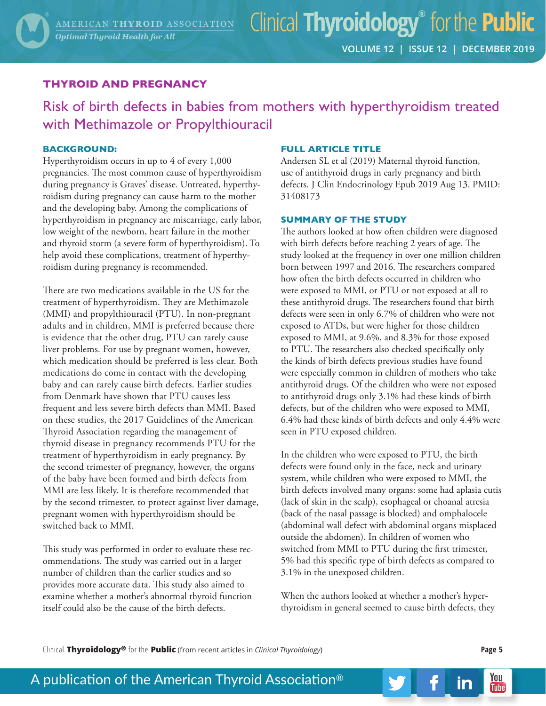# Clinical **Thyroidology®** for the **Public**

## **THYROID AND PREGNANCY**

Risk of birth defects in babies from mothers with hyperthyroidism treated with Methimazole or Propylthiouracil

### **BACKGROUND:**

Hyperthyroidism occurs in up to 4 of every 1,000 pregnancies. The most common cause of hyperthyroidism during pregnancy is Graves' disease. Untreated, hyperthyroidism during pregnancy can cause harm to the mother and the developing baby. Among the complications of hyperthyroidism in pregnancy are miscarriage, early labor, low weight of the newborn, heart failure in the mother and thyroid storm (a severe form of hyperthyroidism). To help avoid these complications, treatment of hyperthyroidism during pregnancy is recommended.

There are two medications available in the US for the treatment of hyperthyroidism. They are Methimazole (MMI) and propylthiouracil (PTU). In non-pregnant adults and in children, MMI is preferred because there is evidence that the other drug, PTU can rarely cause liver problems. For use by pregnant women, however, which medication should be preferred is less clear. Both medications do come in contact with the developing baby and can rarely cause birth defects. Earlier studies from Denmark have shown that PTU causes less frequent and less severe birth defects than MMI. Based on these studies, the 2017 Guidelines of the American Thyroid Association regarding the management of thyroid disease in pregnancy recommends PTU for the treatment of hyperthyroidism in early pregnancy. By the second trimester of pregnancy, however, the organs of the baby have been formed and birth defects from MMI are less likely. It is therefore recommended that by the second trimester, to protect against liver damage, pregnant women with hyperthyroidism should be switched back to MMI.

This study was performed in order to evaluate these recommendations. The study was carried out in a larger number of children than the earlier studies and so provides more accurate data. This study also aimed to examine whether a mother's abnormal thyroid function itself could also be the cause of the birth defects.

#### **FULL ARTICLE TITLE**

Andersen SL et al (2019) Maternal thyroid function, use of antithyroid drugs in early pregnancy and birth defects. J Clin Endocrinology Epub 2019 Aug 13. PMID: 31408173

#### **SUMMARY OF THE STUDY**

The authors looked at how often children were diagnosed with birth defects before reaching 2 years of age. The study looked at the frequency in over one million children born between 1997 and 2016. The researchers compared how often the birth defects occurred in children who were exposed to MMI, or PTU or not exposed at all to these antithyroid drugs. The researchers found that birth defects were seen in only 6.7% of children who were not exposed to ATDs, but were higher for those children exposed to MMI, at 9.6%, and 8.3% for those exposed to PTU. The researchers also checked specifically only the kinds of birth defects previous studies have found were especially common in children of mothers who take antithyroid drugs. Of the children who were not exposed to antithyroid drugs only 3.1% had these kinds of birth defects, but of the children who were exposed to MMI, 6.4% had these kinds of birth defects and only 4.4% were seen in PTU exposed children.

In the children who were exposed to PTU, the birth defects were found only in the face, neck and urinary system, while children who were exposed to MMI, the birth defects involved many organs: some had aplasia cutis (lack of skin in the scalp), esophageal or choanal atresia (back of the nasal passage is blocked) and omphalocele (abdominal wall defect with abdominal organs misplaced outside the abdomen). In children of women who switched from MMI to PTU during the first trimester, 5% had this specific type of birth defects as compared to 3.1% in the unexposed children.

When the authors looked at whether a mother's hyperthyroidism in general seemed to cause birth defects, they

Clinical **Thyroidology®** for the **Public** (from recent articles in *Clinical Thyroidology*) **Page 5**

You

**Tube** 

in